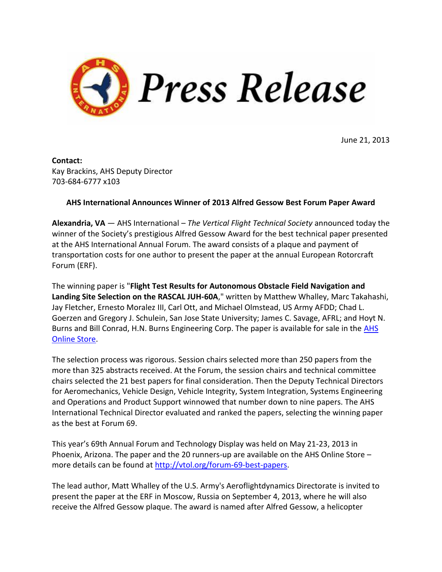

June 21, 2013

**Contact:** Kay Brackins, AHS Deputy Director 703-684-6777 x103

## **AHS International Announces Winner of 2013 Alfred Gessow Best Forum Paper Award**

**Alexandria, VA** — AHS International – *The Vertical Flight Technical Society* announced today the winner of the Society's prestigious Alfred Gessow Award for the best technical paper presented at the AHS International Annual Forum. The award consists of a plaque and payment of transportation costs for one author to present the paper at the annual European Rotorcraft Forum (ERF).

The winning paper is "**Flight Test Results for Autonomous Obstacle Field Navigation and Landing Site Selection on the RASCAL JUH-60A**," written by Matthew Whalley, Marc Takahashi, Jay Fletcher, Ernesto Moralez III, Carl Ott, and Michael Olmstead, US Army AFDD; Chad L. Goerzen and Gregory J. Schulein, San Jose State University; James C. Savage, AFRL; and Hoyt N. Burns and Bill Conrad, H.N. Burns Engineering Corp. The paper is available for sale in the **AHS** [Online Store.](https://vtol.org/store/product/flight-test-results-for-autonomous-obstacle-field-navigation-and-landing-site-selection-on-the-rascal-juh60a-8535.cfm)

The selection process was rigorous. Session chairs selected more than 250 papers from the more than 325 abstracts received. At the Forum, the session chairs and technical committee chairs selected the 21 best papers for final consideration. Then the Deputy Technical Directors for Aeromechanics, Vehicle Design, Vehicle Integrity, System Integration, Systems Engineering and Operations and Product Support winnowed that number down to nine papers. The AHS International Technical Director evaluated and ranked the papers, selecting the winning paper as the best at Forum 69.

This year's 69th Annual Forum and Technology Display was held on May 21-23, 2013 in Phoenix, Arizona. The paper and the 20 runners-up are available on the AHS Online Store – more details can be found at [http://vtol.org/forum-69-best-papers.](http://www.vtol.org/forum-69-best-papers)

The lead author, Matt Whalley of the U.S. Army's Aeroflightdynamics Directorate is invited to present the paper at the ERF in Moscow, Russia on September 4, 2013, where he will also receive the Alfred Gessow plaque. The award is named after Alfred Gessow, a helicopter